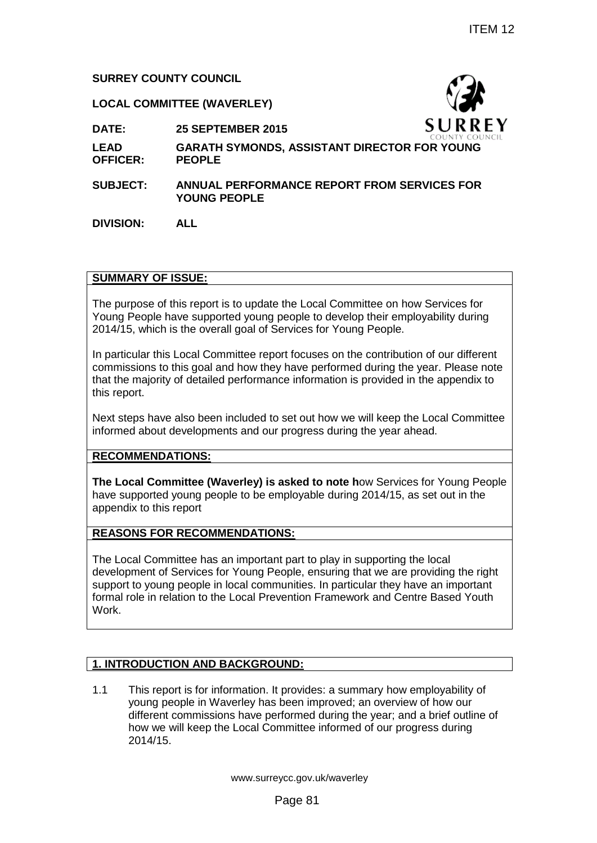## **SURREY COUNTY COUNCIL**

### **LOCAL COMMITTEE (WAVERLEY)**



**DATE: 25 SEPTEMBER 2015**

- **LEAD OFFICER: GARATH SYMONDS, ASSISTANT DIRECTOR FOR YOUNG PEOPLE**
- **SUBJECT: ANNUAL PERFORMANCE REPORT FROM SERVICES FOR YOUNG PEOPLE**

**DIVISION: ALL**

### **SUMMARY OF ISSUE:**

The purpose of this report is to update the Local Committee on how Services for Young People have supported young people to develop their employability during 2014/15, which is the overall goal of Services for Young People.

In particular this Local Committee report focuses on the contribution of our different commissions to this goal and how they have performed during the year. Please note that the majority of detailed performance information is provided in the appendix to this report.

Next steps have also been included to set out how we will keep the Local Committee informed about developments and our progress during the year ahead.

### **RECOMMENDATIONS:**

**The Local Committee (Waverley) is asked to note h**ow Services for Young People have supported young people to be employable during 2014/15, as set out in the appendix to this report

### **REASONS FOR RECOMMENDATIONS:**

The Local Committee has an important part to play in supporting the local development of Services for Young People, ensuring that we are providing the right support to young people in local communities. In particular they have an important formal role in relation to the Local Prevention Framework and Centre Based Youth Work. TEM 12<br>
15<br>
15<br>
S. LUR REY<br>
S. ASSISTANT DIRECTOR FOR YOUNG<br>
MANCE REPORT FROM SERVICES FOR<br>
MANCE REPORT FROM SERVICES FOR<br>
the Local Committee on how Services for<br>
people to develop their employability during<br>
pervices f

# **1. INTRODUCTION AND BACKGROUND:**

1.1 This report is for information. It provides: a summary how employability of young people in Waverley has been improved; an overview of how our different commissions have performed during the year; and a brief outline of how we will keep the Local Committee informed of our progress during 2014/15.

www.surreycc.gov.uk/waverley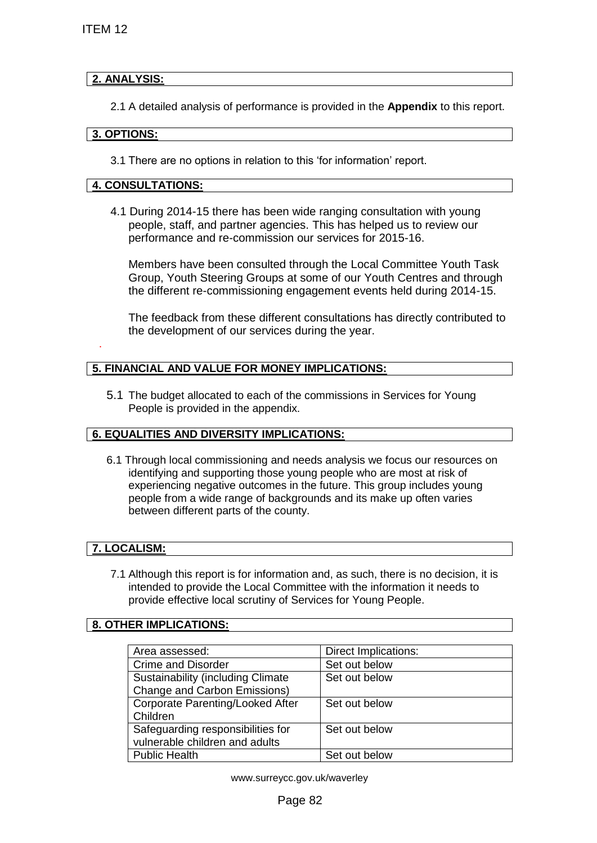## **2. ANALYSIS:**

### **3. OPTIONS:**

## **4. CONSULTATIONS:**

### **5. FINANCIAL AND VALUE FOR MONEY IMPLICATIONS:**

### **6. EQUALITIES AND DIVERSITY IMPLICATIONS:**

### **7. LOCALISM:**

#### **8. OTHER IMPLICATIONS:**

| ITEM 12                                                                                                                                                                                                                                                                                                                                            |                      |  |
|----------------------------------------------------------------------------------------------------------------------------------------------------------------------------------------------------------------------------------------------------------------------------------------------------------------------------------------------------|----------------------|--|
| 2. ANALYSIS:                                                                                                                                                                                                                                                                                                                                       |                      |  |
|                                                                                                                                                                                                                                                                                                                                                    |                      |  |
| 2.1 A detailed analysis of performance is provided in the <b>Appendix</b> to this report.                                                                                                                                                                                                                                                          |                      |  |
| 3. OPTIONS:                                                                                                                                                                                                                                                                                                                                        |                      |  |
| 3.1 There are no options in relation to this 'for information' report.                                                                                                                                                                                                                                                                             |                      |  |
| <b>4. CONSULTATIONS:</b>                                                                                                                                                                                                                                                                                                                           |                      |  |
| 4.1 During 2014-15 there has been wide ranging consultation with young<br>people, staff, and partner agencies. This has helped us to review our<br>performance and re-commission our services for 2015-16.                                                                                                                                         |                      |  |
| Members have been consulted through the Local Committee Youth Task<br>Group, Youth Steering Groups at some of our Youth Centres and through<br>the different re-commissioning engagement events held during 2014-15.                                                                                                                               |                      |  |
| The feedback from these different consultations has directly contributed to<br>the development of our services during the year.                                                                                                                                                                                                                    |                      |  |
| 5. FINANCIAL AND VALUE FOR MONEY IMPLICATIONS:                                                                                                                                                                                                                                                                                                     |                      |  |
| 5.1 The budget allocated to each of the commissions in Services for Young<br>People is provided in the appendix.                                                                                                                                                                                                                                   |                      |  |
| <b>6. EQUALITIES AND DIVERSITY IMPLICATIONS:</b>                                                                                                                                                                                                                                                                                                   |                      |  |
| 6.1 Through local commissioning and needs analysis we focus our resources on<br>identifying and supporting those young people who are most at risk of<br>experiencing negative outcomes in the future. This group includes young<br>people from a wide range of backgrounds and its make up often varies<br>between different parts of the county. |                      |  |
| 7. LOCALISM:                                                                                                                                                                                                                                                                                                                                       |                      |  |
| 7.1 Although this report is for information and, as such, there is no decision, it is<br>intended to provide the Local Committee with the information it needs to<br>provide effective local scrutiny of Services for Young People.                                                                                                                |                      |  |
| 8. OTHER IMPLICATIONS:                                                                                                                                                                                                                                                                                                                             |                      |  |
| Area assessed:                                                                                                                                                                                                                                                                                                                                     | Direct Implications: |  |
| <b>Crime and Disorder</b>                                                                                                                                                                                                                                                                                                                          | Set out below        |  |
| <b>Sustainability (including Climate</b><br>Change and Carbon Emissions)                                                                                                                                                                                                                                                                           | Set out below        |  |
| Corporate Parenting/Looked After<br>Children                                                                                                                                                                                                                                                                                                       | Set out below        |  |
| Safeguarding responsibilities for<br>vulnerable children and adults                                                                                                                                                                                                                                                                                | Set out below        |  |
| <b>Public Health</b>                                                                                                                                                                                                                                                                                                                               | Set out below        |  |
| www.surreycc.gov.uk/waverley                                                                                                                                                                                                                                                                                                                       |                      |  |
| Page 82                                                                                                                                                                                                                                                                                                                                            |                      |  |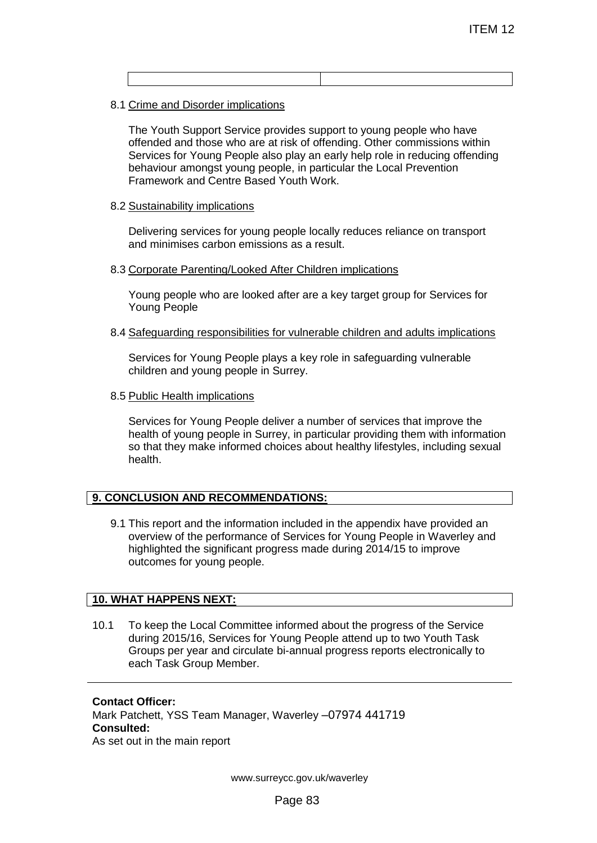8.1 Crime and Disorder implications

The Youth Support Service provides support to young people who have offended and those who are at risk of offending. Other commissions within Services for Young People also play an early help role in reducing offending behaviour amongst young people, in particular the Local Prevention Framework and Centre Based Youth Work. ITEM 12<br>
TEM 12<br>
TEM 12<br>
Trisk of offending, Other commissions within<br>
trisk of offending, Other commissions within<br>
Deple, in particular the Local Prevention<br>
Youth Work.<br>
Repeople locally reduces reliance on transport<br>
t

#### 8.2 Sustainability implications

Delivering services for young people locally reduces reliance on transport and minimises carbon emissions as a result.

#### 8.3 Corporate Parenting/Looked After Children implications

Young people who are looked after are a key target group for Services for Young People

8.4 Safeguarding responsibilities for vulnerable children and adults implications

Services for Young People plays a key role in safeguarding vulnerable children and young people in Surrey.

8.5 Public Health implications

Services for Young People deliver a number of services that improve the health of young people in Surrey, in particular providing them with information so that they make informed choices about healthy lifestyles, including sexual health.

### **9. CONCLUSION AND RECOMMENDATIONS:**

9.1 This report and the information included in the appendix have provided an overview of the performance of Services for Young People in Waverley and highlighted the significant progress made during 2014/15 to improve outcomes for young people.

### **10. WHAT HAPPENS NEXT:**

10.1 To keep the Local Committee informed about the progress of the Service during 2015/16, Services for Young People attend up to two Youth Task Groups per year and circulate bi-annual progress reports electronically to each Task Group Member.

**Contact Officer:** Mark Patchett, YSS Team Manager, Waverley –07974 441719 **Consulted:** As set out in the main report

www.surreycc.gov.uk/waverley